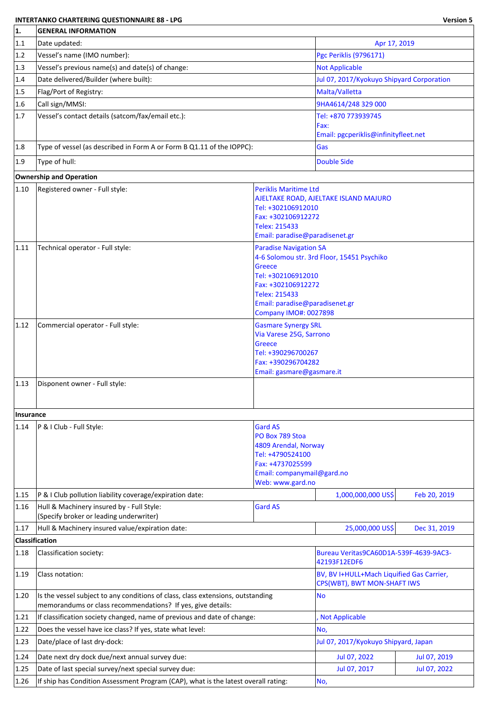## **INTERTANKO CHARTERING QUESTIONNAIRE 88 - LPG Version 5**

| 1.                | <b>GENERAL INFORMATION</b>                                                                                                                     |                                                                |                                                                          |              |  |
|-------------------|------------------------------------------------------------------------------------------------------------------------------------------------|----------------------------------------------------------------|--------------------------------------------------------------------------|--------------|--|
| 1.1               | Date updated:                                                                                                                                  |                                                                | Apr 17, 2019                                                             |              |  |
| 1.2               | Vessel's name (IMO number):                                                                                                                    | <b>Pgc Periklis (9796171)</b>                                  |                                                                          |              |  |
| 1.3               | Vessel's previous name(s) and date(s) of change:                                                                                               |                                                                | <b>Not Applicable</b>                                                    |              |  |
| 1.4               | Date delivered/Builder (where built):                                                                                                          |                                                                | Jul 07, 2017/Kyokuyo Shipyard Corporation                                |              |  |
| 1.5               | Flag/Port of Registry:                                                                                                                         |                                                                | Malta/Valletta                                                           |              |  |
| 1.6               | Call sign/MMSI:                                                                                                                                |                                                                | 9HA4614/248 329 000                                                      |              |  |
| 1.7               | Vessel's contact details (satcom/fax/email etc.):                                                                                              |                                                                | Tel: +870 773939745                                                      |              |  |
|                   |                                                                                                                                                |                                                                | Fax:                                                                     |              |  |
|                   |                                                                                                                                                |                                                                | Email: pgcperiklis@infinityfleet.net                                     |              |  |
| 1.8               | Type of vessel (as described in Form A or Form B Q1.11 of the IOPPC):                                                                          |                                                                | Gas                                                                      |              |  |
| 1.9               | Type of hull:                                                                                                                                  |                                                                | <b>Double Side</b>                                                       |              |  |
|                   | <b>Ownership and Operation</b>                                                                                                                 |                                                                |                                                                          |              |  |
| 1.10              | Registered owner - Full style:                                                                                                                 | <b>Periklis Maritime Ltd</b>                                   |                                                                          |              |  |
|                   |                                                                                                                                                | Tel: +302106912010                                             | AJELTAKE ROAD, AJELTAKE ISLAND MAJURO                                    |              |  |
|                   |                                                                                                                                                | Fax: +302106912272                                             |                                                                          |              |  |
|                   |                                                                                                                                                | Telex: 215433                                                  |                                                                          |              |  |
|                   |                                                                                                                                                | Email: paradise@paradisenet.gr                                 |                                                                          |              |  |
| 1.11              | Technical operator - Full style:                                                                                                               | <b>Paradise Navigation SA</b>                                  |                                                                          |              |  |
|                   |                                                                                                                                                | Greece                                                         | 4-6 Solomou str. 3rd Floor, 15451 Psychiko                               |              |  |
|                   |                                                                                                                                                | Tel: +302106912010                                             |                                                                          |              |  |
|                   |                                                                                                                                                | Fax: +302106912272                                             |                                                                          |              |  |
|                   |                                                                                                                                                | Telex: 215433                                                  |                                                                          |              |  |
|                   |                                                                                                                                                | Email: paradise@paradisenet.gr<br><b>Company IMO#: 0027898</b> |                                                                          |              |  |
| 1.12              | Commercial operator - Full style:                                                                                                              | <b>Gasmare Synergy SRL</b>                                     |                                                                          |              |  |
|                   |                                                                                                                                                | Via Varese 25G, Sarrono                                        |                                                                          |              |  |
|                   |                                                                                                                                                | <b>Greece</b>                                                  |                                                                          |              |  |
|                   |                                                                                                                                                | Tel: +390296700267<br>Fax: +390296704282                       |                                                                          |              |  |
|                   |                                                                                                                                                | Email: gasmare@gasmare.it                                      |                                                                          |              |  |
| 1.13              | Disponent owner - Full style:                                                                                                                  |                                                                |                                                                          |              |  |
|                   |                                                                                                                                                |                                                                |                                                                          |              |  |
|                   |                                                                                                                                                |                                                                |                                                                          |              |  |
| Insurance<br>1.14 | P & I Club - Full Style:                                                                                                                       | <b>Gard AS</b>                                                 |                                                                          |              |  |
|                   |                                                                                                                                                | PO Box 789 Stoa                                                |                                                                          |              |  |
|                   |                                                                                                                                                | 4809 Arendal, Norway                                           |                                                                          |              |  |
|                   |                                                                                                                                                | Tel: +4790524100                                               |                                                                          |              |  |
|                   |                                                                                                                                                | Fax: +4737025599<br>Email: companymail@gard.no                 |                                                                          |              |  |
|                   |                                                                                                                                                | Web: www.gard.no                                               |                                                                          |              |  |
| 1.15              | P & I Club pollution liability coverage/expiration date:                                                                                       |                                                                | 1,000,000,000 US\$                                                       | Feb 20, 2019 |  |
| 1.16              | Hull & Machinery insured by - Full Style:<br>(Specify broker or leading underwriter)                                                           | <b>Gard AS</b>                                                 |                                                                          |              |  |
| 1.17              | Hull & Machinery insured value/expiration date:                                                                                                |                                                                | 25,000,000 US\$                                                          | Dec 31, 2019 |  |
|                   | <b>Classification</b>                                                                                                                          |                                                                |                                                                          |              |  |
| 1.18              | Classification society:                                                                                                                        |                                                                | Bureau Veritas9CA60D1A-539F-4639-9AC3-<br>42193F12EDF6                   |              |  |
| 1.19              | Class notation:                                                                                                                                |                                                                | BV, BV I+HULL+Mach Liquified Gas Carrier,<br>CPS(WBT), BWT MON-SHAFT IWS |              |  |
| 1.20              | Is the vessel subject to any conditions of class, class extensions, outstanding<br>memorandums or class recommendations? If yes, give details: |                                                                | <b>No</b>                                                                |              |  |
| 1.21              | If classification society changed, name of previous and date of change:                                                                        |                                                                | <b>Not Applicable</b>                                                    |              |  |
| 1.22              | Does the vessel have ice class? If yes, state what level:                                                                                      |                                                                | No,                                                                      |              |  |
| 1.23              | Date/place of last dry-dock:                                                                                                                   |                                                                | Jul 07, 2017/Kyokuyo Shipyard, Japan                                     |              |  |
| 1.24              | Date next dry dock due/next annual survey due:                                                                                                 |                                                                | Jul 07, 2022                                                             | Jul 07, 2019 |  |
| 1.25              | Date of last special survey/next special survey due:                                                                                           |                                                                | Jul 07, 2017                                                             | Jul 07, 2022 |  |
| 1.26              | If ship has Condition Assessment Program (CAP), what is the latest overall rating:                                                             |                                                                | No,                                                                      |              |  |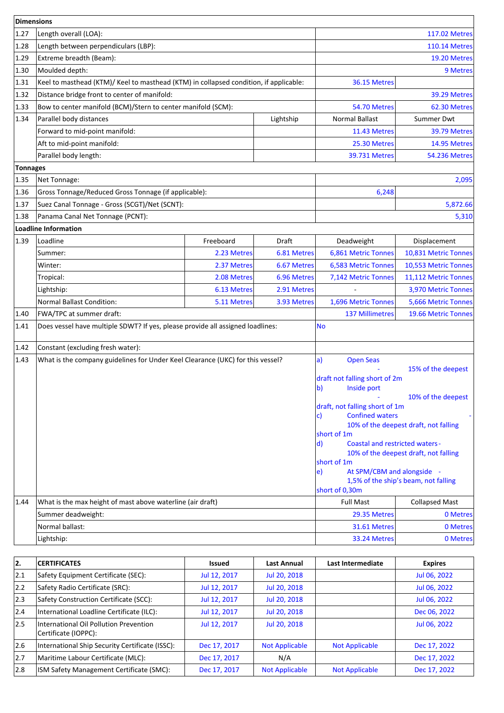| Dimensions |                                                                                       |                                                                                                       |                                                                               |                                                                                                |                                          |
|------------|---------------------------------------------------------------------------------------|-------------------------------------------------------------------------------------------------------|-------------------------------------------------------------------------------|------------------------------------------------------------------------------------------------|------------------------------------------|
| 1.27       | Length overall (LOA):                                                                 | <b>117.02 Metres</b>                                                                                  |                                                                               |                                                                                                |                                          |
| 1.28       | Length between perpendiculars (LBP):                                                  |                                                                                                       |                                                                               | <b>110.14 Metres</b>                                                                           |                                          |
| 1.29       | Extreme breadth (Beam):                                                               |                                                                                                       |                                                                               |                                                                                                | 19.20 Metres                             |
| 1.30       | Moulded depth:                                                                        |                                                                                                       |                                                                               |                                                                                                | 9 Metres                                 |
| 1.31       | Keel to masthead (KTM)/ Keel to masthead (KTM) in collapsed condition, if applicable: |                                                                                                       |                                                                               | 36.15 Metres                                                                                   |                                          |
| 1.32       | Distance bridge front to center of manifold:                                          |                                                                                                       |                                                                               |                                                                                                | 39.29 Metres                             |
| 1.33       | Bow to center manifold (BCM)/Stern to center manifold (SCM):                          |                                                                                                       |                                                                               | 54.70 Metres                                                                                   | 62.30 Metres                             |
| 1.34       | Parallel body distances                                                               |                                                                                                       | Lightship                                                                     | <b>Normal Ballast</b>                                                                          | Summer Dwt                               |
|            | Forward to mid-point manifold:                                                        |                                                                                                       |                                                                               | 11.43 Metres                                                                                   | 39.79 Metres                             |
|            | Aft to mid-point manifold:                                                            |                                                                                                       |                                                                               | 25.30 Metres                                                                                   | 14.95 Metres                             |
|            | Parallel body length:                                                                 |                                                                                                       |                                                                               | 39.731 Metres                                                                                  | <b>54.236 Metres</b>                     |
| Tonnages   |                                                                                       |                                                                                                       |                                                                               |                                                                                                |                                          |
| 1.35       | Net Tonnage:                                                                          |                                                                                                       |                                                                               |                                                                                                | 2,095                                    |
| 1.36       | Gross Tonnage/Reduced Gross Tonnage (if applicable):                                  |                                                                                                       |                                                                               | 6,248                                                                                          |                                          |
| 1.37       | Suez Canal Tonnage - Gross (SCGT)/Net (SCNT):                                         |                                                                                                       |                                                                               |                                                                                                | 5,872.66                                 |
| 1.38       | Panama Canal Net Tonnage (PCNT):                                                      |                                                                                                       |                                                                               |                                                                                                | 5,310                                    |
|            | <b>Loadline Information</b>                                                           |                                                                                                       |                                                                               |                                                                                                |                                          |
| 1.39       | Loadline                                                                              | Freeboard                                                                                             | Draft                                                                         | Deadweight                                                                                     | Displacement                             |
|            | Summer:                                                                               | 2.23 Metres                                                                                           | 6.81 Metres                                                                   | 6,861 Metric Tonnes                                                                            | 10,831 Metric Tonnes                     |
|            | Winter:                                                                               | 2.37 Metres                                                                                           | 6.67 Metres                                                                   | 6,583 Metric Tonnes                                                                            | 10,553 Metric Tonnes                     |
|            | Tropical:                                                                             | 2.08 Metres                                                                                           | 6.96 Metres                                                                   | 7,142 Metric Tonnes                                                                            | 11,112 Metric Tonnes                     |
|            | Lightship:                                                                            | 6.13 Metres                                                                                           | 2.91 Metres                                                                   |                                                                                                | 3,970 Metric Tonnes                      |
|            | <b>Normal Ballast Condition:</b>                                                      | 5.11 Metres                                                                                           | 3.93 Metres                                                                   | 1,696 Metric Tonnes                                                                            | 5,666 Metric Tonnes                      |
| 1.40       | FWA/TPC at summer draft:                                                              |                                                                                                       |                                                                               | <b>137 Millimetres</b>                                                                         | 19.66 Metric Tonnes                      |
| 1.41       | Does vessel have multiple SDWT? If yes, please provide all assigned loadlines:        |                                                                                                       |                                                                               | <b>No</b>                                                                                      |                                          |
| 1.42       | Constant (excluding fresh water):                                                     |                                                                                                       |                                                                               |                                                                                                |                                          |
| 1.43       | What is the company guidelines for Under Keel Clearance (UKC) for this vessel?        |                                                                                                       |                                                                               | a <br><b>Open Seas</b>                                                                         |                                          |
|            |                                                                                       |                                                                                                       |                                                                               | draft not falling short of 2m<br>$\mathbf{b}$<br>Inside port<br>draft, not falling short of 1m | 15% of the deepest<br>10% of the deepest |
|            |                                                                                       | <b>Confined waters</b><br>$\mathsf{c}$<br>short of 1m<br><b>Coastal and restricted waters -</b><br>d) | 10% of the deepest draft, not falling                                         |                                                                                                |                                          |
|            |                                                                                       | short of 1m<br>At SPM/CBM and alongside -<br>e)<br>short of 0,30m                                     | 10% of the deepest draft, not falling<br>1,5% of the ship's beam, not falling |                                                                                                |                                          |
| 1.44       | What is the max height of mast above waterline (air draft)                            |                                                                                                       |                                                                               | <b>Full Mast</b>                                                                               | <b>Collapsed Mast</b>                    |
|            | Summer deadweight:                                                                    |                                                                                                       |                                                                               | 29.35 Metres                                                                                   | 0 Metres                                 |
|            | Normal ballast:                                                                       |                                                                                                       |                                                                               | 31.61 Metres                                                                                   | 0 Metres                                 |
|            | Lightship:                                                                            |                                                                                                       |                                                                               | 33.24 Metres                                                                                   | 0 Metres                                 |

| 2.  | <b>CERTIFICATES</b>                                            | <b>Issued</b> | <b>Last Annual</b>    | Last Intermediate     | <b>Expires</b> |
|-----|----------------------------------------------------------------|---------------|-----------------------|-----------------------|----------------|
| 2.1 | Safety Equipment Certificate (SEC):                            | Jul 12, 2017  | Jul 20, 2018          |                       | Jul 06, 2022   |
| 2.2 | Safety Radio Certificate (SRC):                                | Jul 12, 2017  | Jul 20, 2018          |                       | Jul 06, 2022   |
| 2.3 | Safety Construction Certificate (SCC):                         | Jul 12, 2017  | Jul 20, 2018          |                       | Jul 06, 2022   |
| 2.4 | International Loadline Certificate (ILC):                      | Jul 12, 2017  | Jul 20, 2018          |                       | Dec 06, 2022   |
| 2.5 | International Oil Pollution Prevention<br>Certificate (IOPPC): | Jul 12, 2017  | Jul 20, 2018          |                       | Jul 06, 2022   |
| 2.6 | International Ship Security Certificate (ISSC):                | Dec 17, 2017  | <b>Not Applicable</b> | <b>Not Applicable</b> | Dec 17, 2022   |
| 2.7 | Maritime Labour Certificate (MLC):                             | Dec 17, 2017  | N/A                   |                       | Dec 17, 2022   |
| 2.8 | ISM Safety Management Certificate (SMC):                       | Dec 17, 2017  | <b>Not Applicable</b> | <b>Not Applicable</b> | Dec 17, 2022   |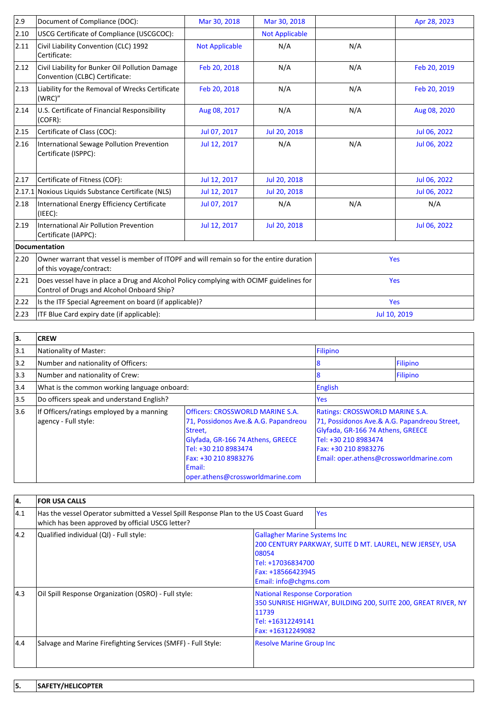| 2.9            | Document of Compliance (DOC):                                                                                                         | Mar 30, 2018          | Mar 30, 2018          |     | Apr 28, 2023 |  |
|----------------|---------------------------------------------------------------------------------------------------------------------------------------|-----------------------|-----------------------|-----|--------------|--|
| 2.10           | USCG Certificate of Compliance (USCGCOC):                                                                                             |                       | <b>Not Applicable</b> |     |              |  |
| 2.11           | Civil Liability Convention (CLC) 1992<br>Certificate:                                                                                 | <b>Not Applicable</b> | N/A                   | N/A |              |  |
| 2.12           | Civil Liability for Bunker Oil Pollution Damage<br>Convention (CLBC) Certificate:                                                     | Feb 20, 2018          | N/A                   | N/A | Feb 20, 2019 |  |
| $ 2.13\rangle$ | Liability for the Removal of Wrecks Certificate<br>(WRC)"                                                                             | Feb 20, 2018          | N/A                   | N/A | Feb 20, 2019 |  |
| 2.14           | U.S. Certificate of Financial Responsibility<br>(COFR):                                                                               | Aug 08, 2017          | N/A                   | N/A | Aug 08, 2020 |  |
| 2.15           | Certificate of Class (COC):                                                                                                           | Jul 07, 2017          | Jul 20, 2018          |     | Jul 06, 2022 |  |
| 2.16           | International Sewage Pollution Prevention<br>Certificate (ISPPC):                                                                     | Jul 12, 2017          | N/A                   | N/A | Jul 06, 2022 |  |
| 2.17           | Certificate of Fitness (COF):                                                                                                         | Jul 12, 2017          | Jul 20, 2018          |     | Jul 06, 2022 |  |
|                | 2.17.1 Noxious Liquids Substance Certificate (NLS)                                                                                    | Jul 12, 2017          | Jul 20, 2018          |     | Jul 06, 2022 |  |
| 2.18           | International Energy Efficiency Certificate<br>(IEEE):                                                                                | Jul 07, 2017          | N/A                   | N/A | N/A          |  |
| 2.19           | International Air Pollution Prevention<br>Certificate (IAPPC):                                                                        | Jul 12, 2017          | Jul 20, 2018          |     | Jul 06, 2022 |  |
|                | <b>Documentation</b>                                                                                                                  |                       |                       |     |              |  |
| 2.20           | Owner warrant that vessel is member of ITOPF and will remain so for the entire duration<br>of this voyage/contract:                   |                       |                       |     | Yes          |  |
| 2.21           | Does vessel have in place a Drug and Alcohol Policy complying with OCIMF guidelines for<br>Control of Drugs and Alcohol Onboard Ship? |                       |                       |     | Yes          |  |
| 2.22           | Is the ITF Special Agreement on board (if applicable)?                                                                                |                       |                       | Yes |              |  |
| 2.23           | ITF Blue Card expiry date (if applicable):                                                                                            |                       |                       |     | Jul 10, 2019 |  |

| 3.  | <b>CREW</b>                                                       |                                                                                                                                                                                                                                |                                                                                                                                                                                                                 |          |
|-----|-------------------------------------------------------------------|--------------------------------------------------------------------------------------------------------------------------------------------------------------------------------------------------------------------------------|-----------------------------------------------------------------------------------------------------------------------------------------------------------------------------------------------------------------|----------|
| 3.1 | Nationality of Master:                                            |                                                                                                                                                                                                                                | Filipino                                                                                                                                                                                                        |          |
| 3.2 | Number and nationality of Officers:                               |                                                                                                                                                                                                                                |                                                                                                                                                                                                                 | Filipino |
| 3.3 | Number and nationality of Crew:                                   |                                                                                                                                                                                                                                |                                                                                                                                                                                                                 | Filipino |
| 3.4 | What is the common working language onboard:                      |                                                                                                                                                                                                                                | <b>English</b>                                                                                                                                                                                                  |          |
| 3.5 | Do officers speak and understand English?                         |                                                                                                                                                                                                                                | Yes                                                                                                                                                                                                             |          |
| 3.6 | If Officers/ratings employed by a manning<br>agency - Full style: | <b>Officers: CROSSWORLD MARINE S.A.</b><br>71, Possidonos Ave.& A.G. Papandreou<br>Street,<br>Glyfada, GR-166 74 Athens, GREECE<br>Tel: +30 210 8983474<br>Fax: +30 210 8983276<br>lEmail:<br>oper.athens@crossworldmarine.com | Ratings: CROSSWORLD MARINE S.A.<br>71, Possidonos Ave.& A.G. Papandreou Street,<br>Glyfada, GR-166 74 Athens, GREECE<br>Tel: +30 210 8983474<br>Fax: +30 210 8983276<br>Email: oper.athens@crossworldmarine.com |          |

| 14.           | <b>FOR USA CALLS</b>                                                                                                                     |                                                                                                                                                                              |            |  |  |
|---------------|------------------------------------------------------------------------------------------------------------------------------------------|------------------------------------------------------------------------------------------------------------------------------------------------------------------------------|------------|--|--|
| $ 4.1\rangle$ | Has the vessel Operator submitted a Vessel Spill Response Plan to the US Coast Guard<br>which has been approved by official USCG letter? |                                                                                                                                                                              | <b>Yes</b> |  |  |
| 14.2          | Qualified individual (QI) - Full style:                                                                                                  | <b>Gallagher Marine Systems Inc.</b><br>200 CENTURY PARKWAY, SUITE D MT. LAUREL, NEW JERSEY, USA<br>08054<br>Tel: +17036834700<br>Fax: +18566423945<br>Email: info@chgms.com |            |  |  |
| $ 4.3\rangle$ | Oil Spill Response Organization (OSRO) - Full style:                                                                                     | <b>National Response Corporation</b><br>350 SUNRISE HIGHWAY, BUILDING 200, SUITE 200, GREAT RIVER, NY<br>11739<br>Tel: +16312249141<br>Fax: +16312249082                     |            |  |  |
| 4.4           | Salvage and Marine Firefighting Services (SMFF) - Full Style:                                                                            | <b>Resolve Marine Group Inc.</b>                                                                                                                                             |            |  |  |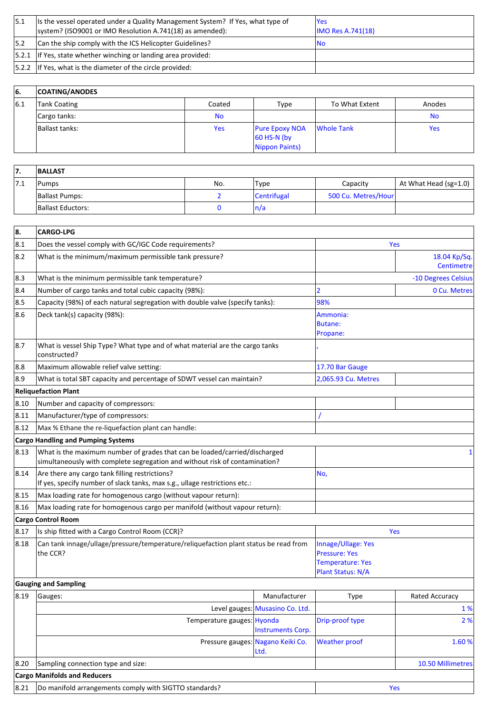| 15.1 | Its the vessel operated under a Quality Management System? If Yes, what type of<br>system? (ISO9001 or IMO Resolution A.741(18) as amended): | lYes<br><b>IMO Res A.741(18)</b> |
|------|----------------------------------------------------------------------------------------------------------------------------------------------|----------------------------------|
| 15.2 | Can the ship comply with the ICS Helicopter Guidelines?                                                                                      | Νo                               |
|      | $ 5.2.1 $ If Yes, state whether winching or landing area provided:                                                                           |                                  |
|      | $ 5.2.2 $ If Yes, what is the diameter of the circle provided:                                                                               |                                  |

| 66. | <b>COATING/ANODES</b> |            |                                                          |                |           |
|-----|-----------------------|------------|----------------------------------------------------------|----------------|-----------|
| 6.1 | Tank Coating          | Coated     | Type                                                     | To What Extent | Anodes    |
|     | Cargo tanks:          | <b>No</b>  |                                                          |                | <b>No</b> |
|     | Ballast tanks:        | <b>Yes</b> | <b>Pure Epoxy NOA</b><br>$60$ HS-N (by<br>Nippon Paints) | Whole Tank     | Yes       |

| ,,         | <b>BALLAST</b>    |     |             |                     |                                          |
|------------|-------------------|-----|-------------|---------------------|------------------------------------------|
| <b>7.L</b> | Pumps             | No. | 'Type       | Capacity            | At What Head (sg= $1.0$ ) $\overline{ }$ |
|            | Ballast Pumps:    |     | Centrifugal | 500 Cu. Metres/Hour |                                          |
|            | Ballast Eductors: |     | n/a         |                     |                                          |

| 8.   | <b>CARGO-LPG</b>                                                                                                                                          |                                                                                            |                                   |                       |  |  |
|------|-----------------------------------------------------------------------------------------------------------------------------------------------------------|--------------------------------------------------------------------------------------------|-----------------------------------|-----------------------|--|--|
| 8.1  | Does the vessel comply with GC/IGC Code requirements?                                                                                                     |                                                                                            | <b>Yes</b>                        |                       |  |  |
| 8.2  | What is the minimum/maximum permissible tank pressure?                                                                                                    |                                                                                            | 18.04 Kp/Sq.<br><b>Centimetre</b> |                       |  |  |
| 8.3  | What is the minimum permissible tank temperature?                                                                                                         |                                                                                            |                                   | -10 Degrees Celsius   |  |  |
| 8.4  | Number of cargo tanks and total cubic capacity (98%):                                                                                                     |                                                                                            | 2                                 | 0 Cu. Metres          |  |  |
| 8.5  | Capacity (98%) of each natural segregation with double valve (specify tanks):                                                                             |                                                                                            | 98%                               |                       |  |  |
| 8.6  | Deck tank(s) capacity (98%):                                                                                                                              |                                                                                            | Ammonia:<br>Butane:<br>Propane:   |                       |  |  |
| 8.7  | What is vessel Ship Type? What type and of what material are the cargo tanks<br>constructed?                                                              |                                                                                            |                                   |                       |  |  |
| 8.8  | Maximum allowable relief valve setting:                                                                                                                   |                                                                                            | 17.70 Bar Gauge                   |                       |  |  |
| 8.9  | What is total SBT capacity and percentage of SDWT vessel can maintain?                                                                                    |                                                                                            | 2,065.93 Cu. Metres               |                       |  |  |
|      | <b>Reliquefaction Plant</b>                                                                                                                               |                                                                                            |                                   |                       |  |  |
| 8.10 | Number and capacity of compressors:                                                                                                                       |                                                                                            |                                   |                       |  |  |
| 8.11 | Manufacturer/type of compressors:                                                                                                                         |                                                                                            |                                   |                       |  |  |
| 8.12 | Max % Ethane the re-liquefaction plant can handle:                                                                                                        |                                                                                            |                                   |                       |  |  |
|      | <b>Cargo Handling and Pumping Systems</b>                                                                                                                 |                                                                                            |                                   |                       |  |  |
| 8.13 | What is the maximum number of grades that can be loaded/carried/discharged<br>simultaneously with complete segregation and without risk of contamination? |                                                                                            |                                   | 1                     |  |  |
| 8.14 | Are there any cargo tank filling restrictions?<br>If yes, specify number of slack tanks, max s.g., ullage restrictions etc.:                              |                                                                                            | No,                               |                       |  |  |
| 8.15 | Max loading rate for homogenous cargo (without vapour return):                                                                                            |                                                                                            |                                   |                       |  |  |
| 8.16 | Max loading rate for homogenous cargo per manifold (without vapour return):                                                                               |                                                                                            |                                   |                       |  |  |
|      | <b>Cargo Control Room</b>                                                                                                                                 |                                                                                            |                                   |                       |  |  |
| 8.17 | Is ship fitted with a Cargo Control Room (CCR)?                                                                                                           |                                                                                            |                                   | Yes                   |  |  |
| 8.18 | Can tank innage/ullage/pressure/temperature/reliquefaction plant status be read from<br>the CCR?                                                          | Innage/Ullage: Yes<br><b>Pressure: Yes</b><br><b>Temperature: Yes</b><br>Plant Status: N/A |                                   |                       |  |  |
|      | <b>Gauging and Sampling</b>                                                                                                                               |                                                                                            |                                   |                       |  |  |
| 8.19 | Gauges:                                                                                                                                                   | Manufacturer                                                                               | Type                              | <b>Rated Accuracy</b> |  |  |
|      |                                                                                                                                                           | Level gauges: Musasino Co. Ltd.                                                            |                                   | 1 %                   |  |  |
|      | Temperature gauges: Hyonda                                                                                                                                | <b>Instruments Corp.</b>                                                                   | Drip-proof type                   | 2%                    |  |  |
|      |                                                                                                                                                           | Pressure gauges: Nagano Keiki Co.<br>Ltd.                                                  | <b>Weather proof</b>              | 1.60 %                |  |  |
| 8.20 | Sampling connection type and size:                                                                                                                        |                                                                                            |                                   | 10.50 Millimetres     |  |  |
|      | <b>Cargo Manifolds and Reducers</b>                                                                                                                       |                                                                                            |                                   |                       |  |  |
| 8.21 | Do manifold arrangements comply with SIGTTO standards?<br>Yes                                                                                             |                                                                                            |                                   |                       |  |  |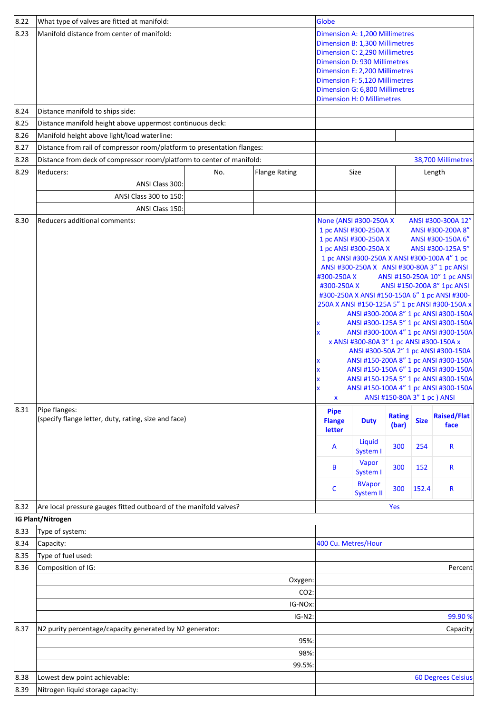| 8.22           | What type of valves are fitted at manifold:                                                            |     |                      | Globe                                                                                                                                                                                                                                                                                |                                                                                                                                         |                                                                             |                                    |                                                                                                                                                                                                                                                                                                                                                                                                                                                                                                                                                                                                                                                                                                                                       |
|----------------|--------------------------------------------------------------------------------------------------------|-----|----------------------|--------------------------------------------------------------------------------------------------------------------------------------------------------------------------------------------------------------------------------------------------------------------------------------|-----------------------------------------------------------------------------------------------------------------------------------------|-----------------------------------------------------------------------------|------------------------------------|---------------------------------------------------------------------------------------------------------------------------------------------------------------------------------------------------------------------------------------------------------------------------------------------------------------------------------------------------------------------------------------------------------------------------------------------------------------------------------------------------------------------------------------------------------------------------------------------------------------------------------------------------------------------------------------------------------------------------------------|
| $ 8.23\rangle$ | Manifold distance from center of manifold:                                                             |     |                      | Dimension A: 1,200 Millimetres<br>Dimension B: 1,300 Millimetres<br>Dimension C: 2,290 Millimetres<br><b>Dimension D: 930 Millimetres</b><br>Dimension E: 2,200 Millimetres<br>Dimension F: 5,120 Millimetres<br>Dimension G: 6,800 Millimetres<br><b>Dimension H: 0 Millimetres</b> |                                                                                                                                         |                                                                             |                                    |                                                                                                                                                                                                                                                                                                                                                                                                                                                                                                                                                                                                                                                                                                                                       |
| 8.24           | Distance manifold to ships side:                                                                       |     |                      |                                                                                                                                                                                                                                                                                      |                                                                                                                                         |                                                                             |                                    |                                                                                                                                                                                                                                                                                                                                                                                                                                                                                                                                                                                                                                                                                                                                       |
| 8.25           | Distance manifold height above uppermost continuous deck:                                              |     |                      |                                                                                                                                                                                                                                                                                      |                                                                                                                                         |                                                                             |                                    |                                                                                                                                                                                                                                                                                                                                                                                                                                                                                                                                                                                                                                                                                                                                       |
| 8.26           | Manifold height above light/load waterline:                                                            |     |                      |                                                                                                                                                                                                                                                                                      |                                                                                                                                         |                                                                             |                                    |                                                                                                                                                                                                                                                                                                                                                                                                                                                                                                                                                                                                                                                                                                                                       |
| 8.27           | Distance from rail of compressor room/platform to presentation flanges:                                |     |                      |                                                                                                                                                                                                                                                                                      |                                                                                                                                         |                                                                             |                                    |                                                                                                                                                                                                                                                                                                                                                                                                                                                                                                                                                                                                                                                                                                                                       |
| 8.28           | Distance from deck of compressor room/platform to center of manifold:                                  |     |                      |                                                                                                                                                                                                                                                                                      |                                                                                                                                         |                                                                             |                                    | 38,700 Millimetres                                                                                                                                                                                                                                                                                                                                                                                                                                                                                                                                                                                                                                                                                                                    |
| 8.29           | Reducers:                                                                                              | No. | <b>Flange Rating</b> |                                                                                                                                                                                                                                                                                      | Size                                                                                                                                    |                                                                             |                                    | Length                                                                                                                                                                                                                                                                                                                                                                                                                                                                                                                                                                                                                                                                                                                                |
|                | ANSI Class 300:                                                                                        |     |                      |                                                                                                                                                                                                                                                                                      |                                                                                                                                         |                                                                             |                                    |                                                                                                                                                                                                                                                                                                                                                                                                                                                                                                                                                                                                                                                                                                                                       |
|                | ANSI Class 300 to 150:                                                                                 |     |                      |                                                                                                                                                                                                                                                                                      |                                                                                                                                         |                                                                             |                                    |                                                                                                                                                                                                                                                                                                                                                                                                                                                                                                                                                                                                                                                                                                                                       |
|                | ANSI Class 150:                                                                                        |     |                      |                                                                                                                                                                                                                                                                                      |                                                                                                                                         |                                                                             |                                    |                                                                                                                                                                                                                                                                                                                                                                                                                                                                                                                                                                                                                                                                                                                                       |
| 8.30<br>8.31   | Reducers additional comments:<br>Pipe flanges:<br>(specify flange letter, duty, rating, size and face) |     |                      | None (ANSI #300-250A X<br>1 pc ANSI #300-250A X<br>1 pc ANSI #300-250A X<br>1 pc ANSI #300-250A X<br>#300-250AX<br>#300-250AX<br>x<br>$\boldsymbol{\mathsf{x}}$<br>x<br>X<br>X<br>X<br>X<br><b>Pipe</b><br><b>Flange</b><br>letter<br>A<br>В<br>с                                    | x ANSI #300-80A 3" 1 pc ANSI #300-150A x<br><b>Duty</b><br>Liquid<br>System I<br>Vapor<br>System I<br><b>BVapor</b><br><b>System II</b> | ANSI #150-80A 3" 1 pc ) ANSI<br><b>Rating</b><br>(bar)<br>300<br>300<br>300 | <b>Size</b><br>254<br>152<br>152.4 | ANSI #300-300A 12"<br>ANSI #300-200A 8"<br>ANSI #300-150A 6"<br>ANSI #300-125A 5"<br>1 pc ANSI #300-250A X ANSI #300-100A 4" 1 pc<br>ANSI #300-250A X ANSI #300-80A 3" 1 pc ANSI<br>ANSI #150-250A 10" 1 pc ANSI<br>ANSI #150-200A 8" 1pc ANSI<br>#300-250A X ANSI #150-150A 6" 1 pc ANSI #300-<br>250A X ANSI #150-125A 5" 1 pc ANSI #300-150A x<br>ANSI #300-200A 8" 1 pc ANSI #300-150A<br>ANSI #300-125A 5" 1 pc ANSI #300-150A<br>ANSI #300-100A 4" 1 pc ANSI #300-150A<br>ANSI #300-50A 2" 1 pc ANSI #300-150A<br>ANSI #150-200A 8" 1 pc ANSI #300-150A<br>ANSI #150-150A 6" 1 pc ANSI #300-150A<br>ANSI #150-125A 5" 1 pc ANSI #300-150A<br>ANSI #150-100A 4" 1 pc ANSI #300-150A<br><b>Raised/Flat</b><br>face<br>R<br>R<br>R |
| 8.32           | Are local pressure gauges fitted outboard of the manifold valves?<br>IG Plant/Nitrogen                 |     |                      |                                                                                                                                                                                                                                                                                      |                                                                                                                                         | Yes                                                                         |                                    |                                                                                                                                                                                                                                                                                                                                                                                                                                                                                                                                                                                                                                                                                                                                       |
| 8.33           | Type of system:                                                                                        |     |                      |                                                                                                                                                                                                                                                                                      |                                                                                                                                         |                                                                             |                                    |                                                                                                                                                                                                                                                                                                                                                                                                                                                                                                                                                                                                                                                                                                                                       |
| 8.34           | Capacity:                                                                                              |     |                      | 400 Cu. Metres/Hour                                                                                                                                                                                                                                                                  |                                                                                                                                         |                                                                             |                                    |                                                                                                                                                                                                                                                                                                                                                                                                                                                                                                                                                                                                                                                                                                                                       |
| 8.35           | Type of fuel used:                                                                                     |     |                      |                                                                                                                                                                                                                                                                                      |                                                                                                                                         |                                                                             |                                    |                                                                                                                                                                                                                                                                                                                                                                                                                                                                                                                                                                                                                                                                                                                                       |
| 8.36           | Composition of IG:                                                                                     |     |                      |                                                                                                                                                                                                                                                                                      |                                                                                                                                         |                                                                             |                                    | Percent                                                                                                                                                                                                                                                                                                                                                                                                                                                                                                                                                                                                                                                                                                                               |
|                |                                                                                                        |     | Oxygen:              |                                                                                                                                                                                                                                                                                      |                                                                                                                                         |                                                                             |                                    |                                                                                                                                                                                                                                                                                                                                                                                                                                                                                                                                                                                                                                                                                                                                       |
|                |                                                                                                        |     | CO2:                 |                                                                                                                                                                                                                                                                                      |                                                                                                                                         |                                                                             |                                    |                                                                                                                                                                                                                                                                                                                                                                                                                                                                                                                                                                                                                                                                                                                                       |
|                |                                                                                                        |     | IG-NOx:              |                                                                                                                                                                                                                                                                                      |                                                                                                                                         |                                                                             |                                    |                                                                                                                                                                                                                                                                                                                                                                                                                                                                                                                                                                                                                                                                                                                                       |
|                |                                                                                                        |     | IG-N2:               |                                                                                                                                                                                                                                                                                      |                                                                                                                                         |                                                                             |                                    | 99.90 %                                                                                                                                                                                                                                                                                                                                                                                                                                                                                                                                                                                                                                                                                                                               |
| 8.37           | N2 purity percentage/capacity generated by N2 generator:                                               |     |                      |                                                                                                                                                                                                                                                                                      |                                                                                                                                         |                                                                             |                                    | Capacity                                                                                                                                                                                                                                                                                                                                                                                                                                                                                                                                                                                                                                                                                                                              |
|                |                                                                                                        |     | 95%:                 |                                                                                                                                                                                                                                                                                      |                                                                                                                                         |                                                                             |                                    |                                                                                                                                                                                                                                                                                                                                                                                                                                                                                                                                                                                                                                                                                                                                       |
|                |                                                                                                        |     | 98%:                 |                                                                                                                                                                                                                                                                                      |                                                                                                                                         |                                                                             |                                    |                                                                                                                                                                                                                                                                                                                                                                                                                                                                                                                                                                                                                                                                                                                                       |
|                |                                                                                                        |     | 99.5%:               |                                                                                                                                                                                                                                                                                      |                                                                                                                                         |                                                                             |                                    |                                                                                                                                                                                                                                                                                                                                                                                                                                                                                                                                                                                                                                                                                                                                       |
| 8.38           | Lowest dew point achievable:                                                                           |     |                      |                                                                                                                                                                                                                                                                                      |                                                                                                                                         |                                                                             |                                    | <b>60 Degrees Celsius</b>                                                                                                                                                                                                                                                                                                                                                                                                                                                                                                                                                                                                                                                                                                             |
| 8.39           | Nitrogen liquid storage capacity:                                                                      |     |                      |                                                                                                                                                                                                                                                                                      |                                                                                                                                         |                                                                             |                                    |                                                                                                                                                                                                                                                                                                                                                                                                                                                                                                                                                                                                                                                                                                                                       |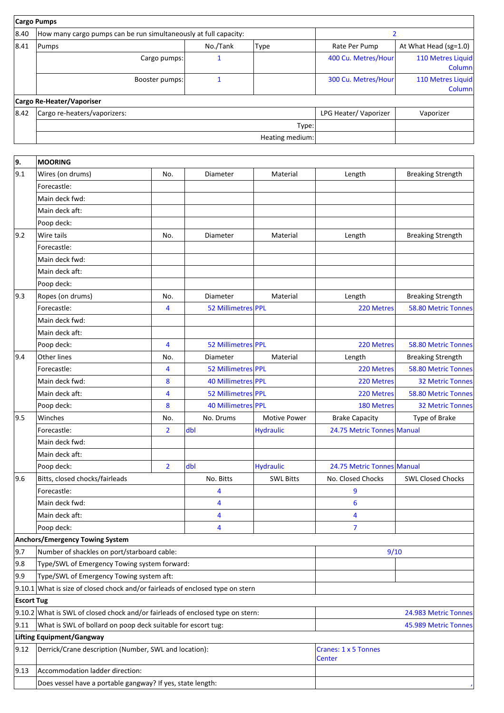|      | <b>Cargo Pumps</b>                                               |          |                 |                      |                             |
|------|------------------------------------------------------------------|----------|-----------------|----------------------|-----------------------------|
| 8.40 | How many cargo pumps can be run simultaneously at full capacity: |          |                 |                      |                             |
| 8.41 | Pumps                                                            | No./Tank | <b>Type</b>     | Rate Per Pump        | At What Head (sg=1.0)       |
|      | Cargo pumps:                                                     |          |                 | 400 Cu. Metres/Hour  | 110 Metres Liquid<br>Column |
|      | Booster pumps:                                                   |          |                 | 300 Cu. Metres/Hour  | 110 Metres Liquid<br>Column |
|      | Cargo Re-Heater/Vaporiser                                        |          |                 |                      |                             |
| 8.42 | Cargo re-heaters/vaporizers:                                     |          |                 | LPG Heater/Vaporizer | Vaporizer                   |
|      |                                                                  |          | Type:           |                      |                             |
|      |                                                                  |          | Heating medium: |                      |                             |
|      |                                                                  |          |                 |                      |                             |

| 9.                | <b>MOORING</b>                                                                     |                |                    |                                |                            |                          |
|-------------------|------------------------------------------------------------------------------------|----------------|--------------------|--------------------------------|----------------------------|--------------------------|
| 9.1               | Wires (on drums)                                                                   | No.            | Diameter           | Material                       | Length                     | <b>Breaking Strength</b> |
|                   | Forecastle:                                                                        |                |                    |                                |                            |                          |
|                   | Main deck fwd:                                                                     |                |                    |                                |                            |                          |
|                   | Main deck aft:                                                                     |                |                    |                                |                            |                          |
|                   | Poop deck:                                                                         |                |                    |                                |                            |                          |
| $ 9.2\rangle$     | Wire tails                                                                         | No.            | Diameter           | Material                       | Length                     | <b>Breaking Strength</b> |
|                   | Forecastle:                                                                        |                |                    |                                |                            |                          |
|                   | Main deck fwd:                                                                     |                |                    |                                |                            |                          |
|                   | Main deck aft:                                                                     |                |                    |                                |                            |                          |
|                   | Poop deck:                                                                         |                |                    |                                |                            |                          |
| 9.3               | Ropes (on drums)                                                                   | No.            | Diameter           | Material                       | Length                     | <b>Breaking Strength</b> |
|                   | Forecastle:                                                                        | 4              | 52 Millimetres PPL |                                | 220 Metres                 | 58.80 Metric Tonnes      |
|                   | Main deck fwd:                                                                     |                |                    |                                |                            |                          |
|                   | Main deck aft:                                                                     |                |                    |                                |                            |                          |
|                   | Poop deck:                                                                         | 4              | 52 Millimetres PPL |                                | 220 Metres                 | 58.80 Metric Tonnes      |
| 9.4               | <b>Other lines</b>                                                                 | No.            | Diameter           | Material                       | Length                     | <b>Breaking Strength</b> |
|                   | Forecastle:                                                                        | 4              | 52 Millimetres PPL |                                | 220 Metres                 | 58.80 Metric Tonnes      |
|                   | Main deck fwd:                                                                     | 8              | 40 Millimetres PPL |                                | 220 Metres                 | <b>32 Metric Tonnes</b>  |
|                   | Main deck aft:                                                                     | 4              | 52 Millimetres PPL |                                | 220 Metres                 | 58.80 Metric Tonnes      |
|                   | Poop deck:                                                                         | 8              | 40 Millimetres PPL |                                | 180 Metres                 | <b>32 Metric Tonnes</b>  |
| 9.5               | Winches                                                                            | No.            | No. Drums          | <b>Motive Power</b>            | <b>Brake Capacity</b>      | Type of Brake            |
|                   | Forecastle:                                                                        | $\overline{2}$ | dbl                | <b>Hydraulic</b>               | 24.75 Metric Tonnes Manual |                          |
|                   | Main deck fwd:                                                                     |                |                    |                                |                            |                          |
|                   | Main deck aft:                                                                     |                |                    |                                |                            |                          |
|                   | Poop deck:                                                                         | $\overline{2}$ | dbl                | <b>Hydraulic</b>               | 24.75 Metric Tonnes Manual |                          |
| 9.6               | Bitts, closed chocks/fairleads                                                     |                | No. Bitts          | <b>SWL Bitts</b>               | No. Closed Chocks          | <b>SWL Closed Chocks</b> |
|                   | Forecastle:                                                                        |                | 4                  |                                | 9                          |                          |
|                   | Main deck fwd:                                                                     |                | 4                  |                                | $6\phantom{1}6$            |                          |
|                   | Main deck aft:                                                                     |                | 4                  |                                | 4                          |                          |
|                   | Poop deck:                                                                         |                | 4                  |                                | $\overline{7}$             |                          |
|                   | Anchors/Emergency Towing System                                                    |                |                    |                                |                            |                          |
| 9.7               | Number of shackles on port/starboard cable:                                        |                |                    |                                | 9/10                       |                          |
| 9.8               | Type/SWL of Emergency Towing system forward:                                       |                |                    |                                |                            |                          |
| 9.9               | Type/SWL of Emergency Towing system aft:                                           |                |                    |                                |                            |                          |
|                   | $ 9.10.1 $ What is size of closed chock and/or fairleads of enclosed type on stern |                |                    |                                |                            |                          |
| <b>Escort Tug</b> |                                                                                    |                |                    |                                |                            |                          |
|                   | $ 9.10.2 $ What is SWL of closed chock and/or fairleads of enclosed type on stern: |                |                    |                                | 24.983 Metric Tonnes       |                          |
| 9.11              | What is SWL of bollard on poop deck suitable for escort tug:                       |                |                    |                                | 45.989 Metric Tonnes       |                          |
|                   | <b>Lifting Equipment/Gangway</b>                                                   |                |                    |                                |                            |                          |
| 9.12              | Derrick/Crane description (Number, SWL and location):                              |                |                    | Cranes: 1 x 5 Tonnes<br>Center |                            |                          |
| $ 9.13\rangle$    | Accommodation ladder direction:                                                    |                |                    |                                |                            |                          |
|                   | Does vessel have a portable gangway? If yes, state length:                         |                |                    |                                |                            |                          |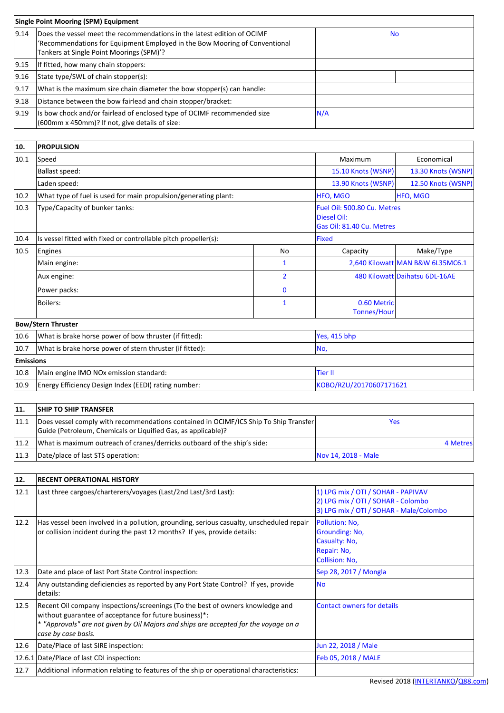| <b>Single Point Mooring (SPM) Equipment</b> |                                                                                                                                                                                                   |     |  |
|---------------------------------------------|---------------------------------------------------------------------------------------------------------------------------------------------------------------------------------------------------|-----|--|
| $ 9.14\rangle$                              | Does the vessel meet the recommendations in the latest edition of OCIMF<br>'Recommendations for Equipment Employed in the Bow Mooring of Conventional<br>Tankers at Single Point Moorings (SPM)'? | No  |  |
| $ 9.15\rangle$                              | If fitted, how many chain stoppers:                                                                                                                                                               |     |  |
| 9.16                                        | State type/SWL of chain stopper(s):                                                                                                                                                               |     |  |
| 9.17                                        | What is the maximum size chain diameter the bow stopper(s) can handle:                                                                                                                            |     |  |
| 9.18                                        | Distance between the bow fairlead and chain stopper/bracket:                                                                                                                                      |     |  |
| $ 9.19\rangle$                              | Its bow chock and/or fairlead of enclosed type of OCIMF recommended size<br>(600mm x 450mm)? If not, give details of size:                                                                        | N/A |  |

| 10.              | <b>PROPULSION</b>                                               |                    |                                                                         |                                  |
|------------------|-----------------------------------------------------------------|--------------------|-------------------------------------------------------------------------|----------------------------------|
| 10.1             | Speed                                                           | Maximum            | Economical                                                              |                                  |
|                  | <b>Ballast speed:</b>                                           | 15.10 Knots (WSNP) | 13.30 Knots (WSNP)                                                      |                                  |
|                  | Laden speed:                                                    | 13.90 Knots (WSNP) | 12.50 Knots (WSNP)                                                      |                                  |
| $ 10.2\rangle$   | What type of fuel is used for main propulsion/generating plant: |                    | HFO, MGO                                                                | <b>HFO, MGO</b>                  |
| 10.3             | Type/Capacity of bunker tanks:                                  |                    | Fuel Oil: 500.80 Cu. Metres<br>Diesel Oil:<br>Gas Oil: 81.40 Cu. Metres |                                  |
| 10.4             | Is vessel fitted with fixed or controllable pitch propeller(s): | <b>Fixed</b>       |                                                                         |                                  |
| 10.5             | Engines                                                         | No                 | Capacity                                                                | Make/Type                        |
|                  | Main engine:                                                    | 1                  |                                                                         | 2,640 Kilowatt MAN B&W 6L35MC6.1 |
|                  | Aux engine:                                                     | $\overline{2}$     |                                                                         | 480 Kilowatt Daihatsu 6DL-16AE   |
|                  | Power packs:                                                    | $\bf{0}$           |                                                                         |                                  |
|                  | Boilers:                                                        | 1                  | 0.60 Metric<br><b>Tonnes/Hour</b>                                       |                                  |
|                  | <b>Bow/Stern Thruster</b>                                       |                    |                                                                         |                                  |
| 10.6             | What is brake horse power of bow thruster (if fitted):          |                    | Yes, 415 bhp                                                            |                                  |
| 10.7             | What is brake horse power of stern thruster (if fitted):        | No,                |                                                                         |                                  |
| <b>Emissions</b> |                                                                 |                    |                                                                         |                                  |

| 10.8   Main engine IMO NOx emission standard:             | <b>'Tier II</b>         |
|-----------------------------------------------------------|-------------------------|
| 10.9 Energy Efficiency Design Index (EEDI) rating number: | KOBO/RZU/20170607171621 |
|                                                           |                         |

| 11.  | <b>SHIP TO SHIP TRANSFER</b>                                                                                                                          |                     |          |
|------|-------------------------------------------------------------------------------------------------------------------------------------------------------|---------------------|----------|
| 11.1 | Does vessel comply with recommendations contained in OCIMF/ICS Ship To Ship Transfer<br>Guide (Petroleum, Chemicals or Liquified Gas, as applicable)? | Yes                 |          |
| 11.2 | What is maximum outreach of cranes/derricks outboard of the ship's side:                                                                              |                     | 4 Metres |
|      | 11.3   Date/place of last STS operation:                                                                                                              | Nov 14, 2018 - Male |          |

| 12.  | <b>RECENT OPERATIONAL HISTORY</b>                                                                                                                                                                                                                       |                                                                                                                     |
|------|---------------------------------------------------------------------------------------------------------------------------------------------------------------------------------------------------------------------------------------------------------|---------------------------------------------------------------------------------------------------------------------|
| 12.1 | Last three cargoes/charterers/voyages (Last/2nd Last/3rd Last):                                                                                                                                                                                         | 1) LPG mix / OTI / SOHAR - PAPIVAV<br>2) LPG mix / OTI / SOHAR - Colombo<br>3) LPG mix / OTI / SOHAR - Male/Colombo |
| 12.2 | Has vessel been involved in a pollution, grounding, serious casualty, unscheduled repair<br>or collision incident during the past 12 months? If yes, provide details:                                                                                   | Pollution: No.<br><b>Grounding: No,</b><br>Casualty: No,<br>Repair: No,<br><b>Collision: No,</b>                    |
| 12.3 | Date and place of last Port State Control inspection:                                                                                                                                                                                                   | Sep 28, 2017 / Mongla                                                                                               |
| 12.4 | Any outstanding deficiencies as reported by any Port State Control? If yes, provide<br>details:                                                                                                                                                         | <b>No</b>                                                                                                           |
| 12.5 | Recent Oil company inspections/screenings (To the best of owners knowledge and<br>without guarantee of acceptance for future business)*:<br>* "Approvals" are not given by Oil Majors and ships are accepted for the voyage on a<br>case by case basis. | <b>Contact owners for details</b>                                                                                   |
| 12.6 | Date/Place of last SIRE inspection:                                                                                                                                                                                                                     | Jun 22, 2018 / Male                                                                                                 |
|      | 12.6.1 Date/Place of last CDI inspection:                                                                                                                                                                                                               | Feb 05, 2018 / MALE                                                                                                 |
| 12.7 | Additional information relating to features of the ship or operational characteristics:                                                                                                                                                                 |                                                                                                                     |